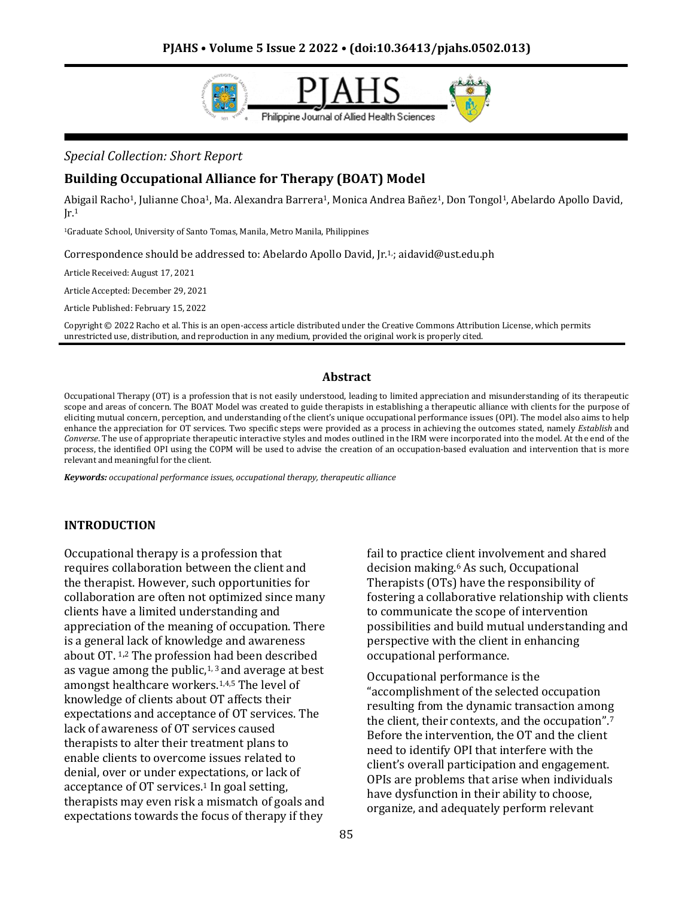

### *Special Collection: Short Report*

### **Building Occupational Alliance for Therapy (BOAT) Model**

Abigail Racho1, Julianne Choa1, Ma. Alexandra Barrera1, Monica Andrea Bañez1, Don Tongol1, Abelardo Apollo David,  $Ir<sup>1</sup>$ 

<sup>1</sup>Graduate School, University of Santo Tomas, Manila, Metro Manila, Philippines

Correspondence should be addressed to: Abelardo Apollo David, Jr.<sup>1</sup>; aidavid@ust.edu.ph

Article Received: August 17, 2021

Article Accepted: December 29, 2021

Article Published: February 15, 2022

Copyright © 2022 Racho et al. This is an open-access article distributed under the Creative Commons Attribution License, which permits unrestricted use, distribution, and reproduction in any medium, provided the original work is properly cited.

### **Abstract**

Occupational Therapy (OT) is a profession that is not easily understood, leading to limited appreciation and misunderstanding of its therapeutic scope and areas of concern. The BOAT Model was created to guide therapists in establishing a therapeutic alliance with clients for the purpose of eliciting mutual concern, perception, and understanding of the client's unique occupational performance issues (OPI). The model also aims to help enhance the appreciation for OT services. Two specific steps were provided as a process in achieving the outcomes stated, namely *Establish* and *Converse*. The use of appropriate therapeutic interactive styles and modes outlined in the IRM were incorporated into the model. At the end of the process, the identified OPI using the COPM will be used to advise the creation of an occupation-based evaluation and intervention that is more relevant and meaningful for the client.

*Keywords: occupational performance issues, occupational therapy, therapeutic alliance*

#### **INTRODUCTION**

Occupational therapy is a profession that requires collaboration between the client and the therapist. However, such opportunities for collaboration are often not optimized since many clients have a limited understanding and appreciation of the meaning of occupation. There is a general lack of knowledge and awareness about OT. <sup>1</sup>**,**<sup>2</sup> The profession had been described as vague among the public,<sup>1,3</sup> and average at best amongst healthcare workers. 1,4,5 The level of knowledge of clients about OT affects their expectations and acceptance of OT services. The lack of awareness of OT services caused therapists to alter their treatment plans to enable clients to overcome issues related to denial, over or under expectations, or lack of acceptance of OT services. <sup>1</sup> In goal setting, therapists may even risk a mismatch of goals and expectations towards the focus of therapy if they

fail to practice client involvement and shared decision making. <sup>6</sup> As such, Occupational Therapists (OTs) have the responsibility of fostering a collaborative relationship with clients to communicate the scope of intervention possibilities and build mutual understanding and perspective with the client in enhancing occupational performance.

Occupational performance is the "accomplishment of the selected occupation resulting from the dynamic transaction among the client, their contexts, and the occupation". 7 Before the intervention, the OT and the client need to identify OPI that interfere with the client's overall participation and engagement. OPIs are problems that arise when individuals have dysfunction in their ability to choose, organize, and adequately perform relevant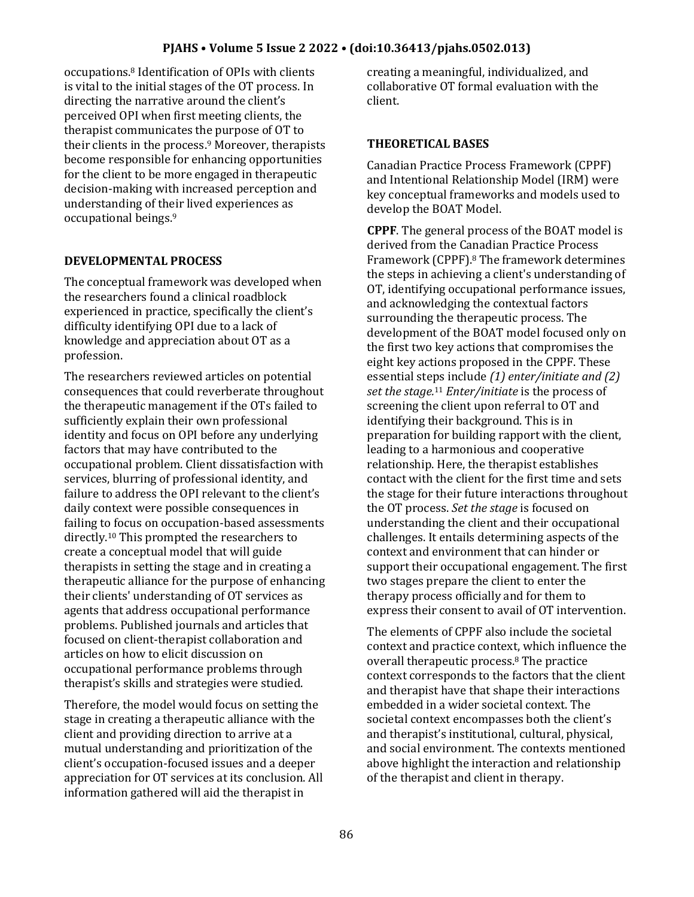occupations. <sup>8</sup> Identification of OPIs with clients is vital to the initial stages of the OT process. In directing the narrative around the client's perceived OPI when first meeting clients, the therapist communicates the purpose of OT to their clients in the process. <sup>9</sup> Moreover, therapists become responsible for enhancing opportunities for the client to be more engaged in therapeutic decision-making with increased perception and understanding of their lived experiences as occupational beings. 9

# **DEVELOPMENTAL PROCESS**

The conceptual framework was developed when the researchers found a clinical roadblock experienced in practice, specifically the client's difficulty identifying OPI due to a lack of knowledge and appreciation about OT as a profession.

The researchers reviewed articles on potential consequences that could reverberate throughout the therapeutic management if the OTs failed to sufficiently explain their own professional identity and focus on OPI before any underlying factors that may have contributed to the occupational problem. Client dissatisfaction with services, blurring of professional identity, and failure to address the OPI relevant to the client's daily context were possible consequences in failing to focus on occupation-based assessments directly. <sup>10</sup> This prompted the researchers to create a conceptual model that will guide therapists in setting the stage and in creating a therapeutic alliance for the purpose of enhancing their clients' understanding of OT services as agents that address occupational performance problems. Published journals and articles that focused on client-therapist collaboration and articles on how to elicit discussion on occupational performance problems through therapist's skills and strategies were studied.

Therefore, the model would focus on setting the stage in creating a therapeutic alliance with the client and providing direction to arrive at a mutual understanding and prioritization of the client's occupation-focused issues and a deeper appreciation for OT services at its conclusion. All information gathered will aid the therapist in

creating a meaningful, individualized, and collaborative OT formal evaluation with the client.

### **THEORETICAL BASES**

Canadian Practice Process Framework (CPPF) and Intentional Relationship Model (IRM) were key conceptual frameworks and models used to develop the BOAT Model.

**CPPF**. The general process of the BOAT model is derived from the Canadian Practice Process Framework (CPPF). <sup>8</sup> The framework determines the steps in achieving a client's understanding of OT, identifying occupational performance issues, and acknowledging the contextual factors surrounding the therapeutic process. The development of the BOAT model focused only on the first two key actions that compromises the eight key actions proposed in the CPPF. These essential steps include *(1) enter/initiate and (2) set the stage.* <sup>11</sup> *Enter/initiate* is the process of screening the client upon referral to OT and identifying their background. This is in preparation for building rapport with the client, leading to a harmonious and cooperative relationship. Here, the therapist establishes contact with the client for the first time and sets the stage for their future interactions throughout the OT process. *Set the stage* is focused on understanding the client and their occupational challenges. It entails determining aspects of the context and environment that can hinder or support their occupational engagement. The first two stages prepare the client to enter the therapy process officially and for them to express their consent to avail of OT intervention.

The elements of CPPF also include the societal context and practice context, which influence the overall therapeutic process. <sup>8</sup> The practice context corresponds to the factors that the client and therapist have that shape their interactions embedded in a wider societal context. The societal context encompasses both the client's and therapist's institutional, cultural, physical, and social environment. The contexts mentioned above highlight the interaction and relationship of the therapist and client in therapy.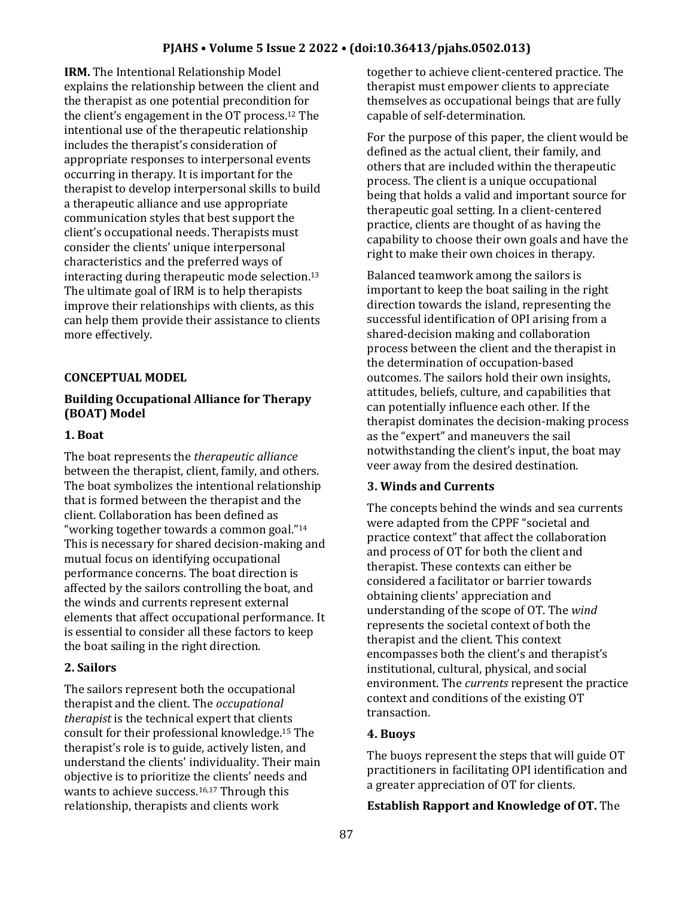**IRM.** The Intentional Relationship Model explains the relationship between the client and the therapist as one potential precondition for the client's engagement in the OT process. <sup>12</sup> The intentional use of the therapeutic relationship includes the therapist's consideration of appropriate responses to interpersonal events occurring in therapy. It is important for the therapist to develop interpersonal skills to build a therapeutic alliance and use appropriate communication styles that best support the client's occupational needs. Therapists must consider the clients' unique interpersonal characteristics and the preferred ways of interacting during therapeutic mode selection. 13 The ultimate goal of IRM is to help therapists improve their relationships with clients, as this can help them provide their assistance to clients more effectively.

### **CONCEPTUAL MODEL**

## **Building Occupational Alliance for Therapy (BOAT) Model**

### **1. Boat**

The boat represents the *therapeutic alliance* between the therapist, client, family, and others. The boat symbolizes the intentional relationship that is formed between the therapist and the client. Collaboration has been defined as "working together towards a common goal."<sup>14</sup> This is necessary for shared decision-making and mutual focus on identifying occupational performance concerns. The boat direction is affected by the sailors controlling the boat, and the winds and currents represent external elements that affect occupational performance. It is essential to consider all these factors to keep the boat sailing in the right direction.

# **2. Sailors**

The sailors represent both the occupational therapist and the client. The *occupational therapist* is the technical expert that clients consult for their professional knowledge. <sup>15</sup> The therapist's role is to guide, actively listen, and understand the clients' individuality. Their main objective is to prioritize the clients' needs and wants to achieve success. 16,17 Through this relationship, therapists and clients work

together to achieve client-centered practice. The therapist must empower clients to appreciate themselves as occupational beings that are fully capable of self-determination.

For the purpose of this paper, the client would be defined as the actual client, their family, and others that are included within the therapeutic process. The client is a unique occupational being that holds a valid and important source for therapeutic goal setting. In a client-centered practice, clients are thought of as having the capability to choose their own goals and have the right to make their own choices in therapy.

Balanced teamwork among the sailors is important to keep the boat sailing in the right direction towards the island, representing the successful identification of OPI arising from a shared-decision making and collaboration process between the client and the therapist in the determination of occupation-based outcomes. The sailors hold their own insights, attitudes, beliefs, culture, and capabilities that can potentially influence each other. If the therapist dominates the decision-making process as the "expert" and maneuvers the sail notwithstanding the client's input, the boat may veer away from the desired destination.

# **3. Winds and Currents**

The concepts behind the winds and sea currents were adapted from the CPPF "societal and practice context" that affect the collaboration and process of OT for both the client and therapist. These contexts can either be considered a facilitator or barrier towards obtaining clients' appreciation and understanding of the scope of OT. The *wind* represents the societal context of both the therapist and the client. This context encompasses both the client's and therapist's institutional, cultural, physical, and social environment. The *currents* represent the practice context and conditions of the existing OT transaction.

# **4. Buoys**

The buoys represent the steps that will guide OT practitioners in facilitating OPI identification and a greater appreciation of OT for clients.

# **Establish Rapport and Knowledge of OT.** The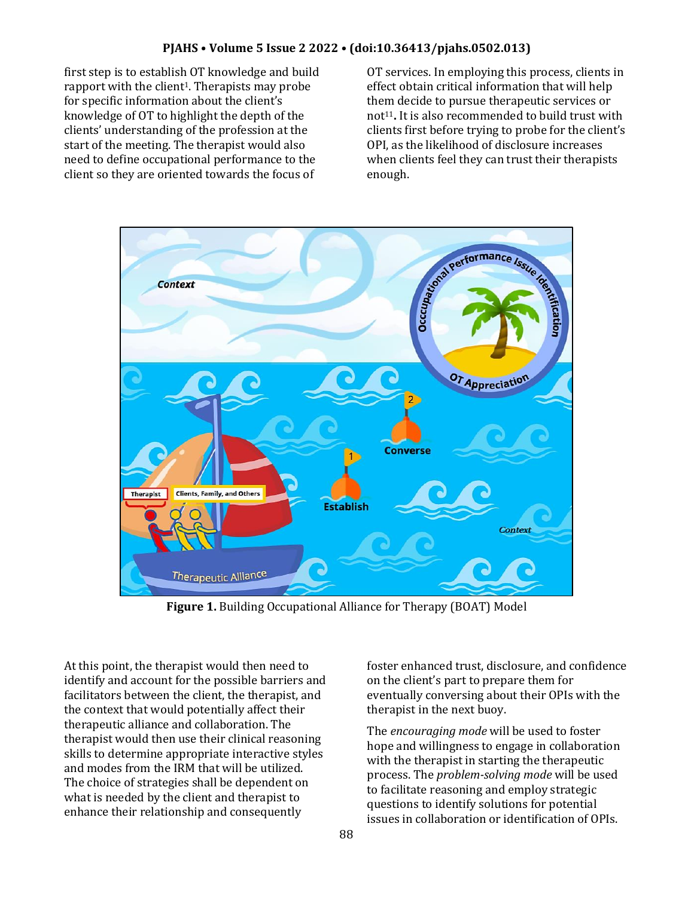first step is to establish OT knowledge and build rapport with the client<sup>1</sup>. Therapists may probe for specific information about the client's knowledge of OT to highlight the depth of the clients' understanding of the profession at the start of the meeting. The therapist would also need to define occupational performance to the client so they are oriented towards the focus of

OT services. In employing this process, clients in effect obtain critical information that will help them decide to pursue therapeutic services or not<sup>11</sup>. It is also recommended to build trust with clients first before trying to probe for the client's OPI, as the likelihood of disclosure increases when clients feel they can trust their therapists enough.



**Figure 1.** Building Occupational Alliance for Therapy (BOAT) Model

At this point, the therapist would then need to identify and account for the possible barriers and facilitators between the client, the therapist, and the context that would potentially affect their therapeutic alliance and collaboration. The therapist would then use their clinical reasoning skills to determine appropriate interactive styles and modes from the IRM that will be utilized. The choice of strategies shall be dependent on what is needed by the client and therapist to enhance their relationship and consequently

foster enhanced trust, disclosure, and confidence on the client's part to prepare them for eventually conversing about their OPIs with the therapist in the next buoy.

The *encouraging mode* will be used to foster hope and willingness to engage in collaboration with the therapist in starting the therapeutic process. The *problem-solving mode* will be used to facilitate reasoning and employ strategic questions to identify solutions for potential issues in collaboration or identification of OPIs.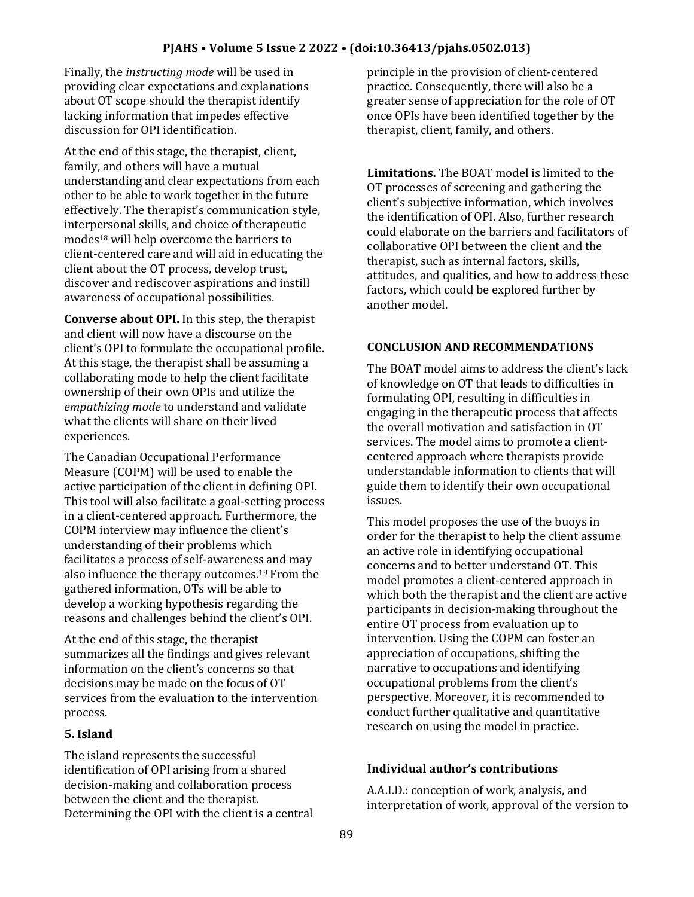### **PJAHS • Volume 5 Issue 2 2022 • (doi:10.36413/pjahs.0502.013)**

Finally, the *instructing mode* will be used in providing clear expectations and explanations about OT scope should the therapist identify lacking information that impedes effective discussion for OPI identification.

At the end of this stage, the therapist, client, family, and others will have a mutual understanding and clear expectations from each other to be able to work together in the future effectively. The therapist's communication style, interpersonal skills, and choice of therapeutic modes<sup>18</sup> will help overcome the barriers to client-centered care and will aid in educating the client about the OT process, develop trust, discover and rediscover aspirations and instill awareness of occupational possibilities.

**Converse about OPI.** In this step, the therapist and client will now have a discourse on the client's OPI to formulate the occupational profile. At this stage, the therapist shall be assuming a collaborating mode to help the client facilitate ownership of their own OPIs and utilize the *empathizing mode* to understand and validate what the clients will share on their lived experiences.

The Canadian Occupational Performance Measure (COPM) will be used to enable the active participation of the client in defining OPI. This tool will also facilitate a goal-setting process in a client-centered approach. Furthermore, the COPM interview may influence the client's understanding of their problems which facilitates a process of self-awareness and may also influence the therapy outcomes. <sup>19</sup> From the gathered information, OTs will be able to develop a working hypothesis regarding the reasons and challenges behind the client's OPI.

At the end of this stage, the therapist summarizes all the findings and gives relevant information on the client's concerns so that decisions may be made on the focus of OT services from the evaluation to the intervention process.

### **5. Island**

The island represents the successful identification of OPI arising from a shared decision-making and collaboration process between the client and the therapist. Determining the OPI with the client is a central principle in the provision of client-centered practice. Consequently, there will also be a greater sense of appreciation for the role of OT once OPIs have been identified together by the therapist, client, family, and others.

**Limitations.** The BOAT model is limited to the OT processes of screening and gathering the client's subjective information, which involves the identification of OPI. Also, further research could elaborate on the barriers and facilitators of collaborative OPI between the client and the therapist, such as internal factors, skills, attitudes, and qualities, and how to address these factors, which could be explored further by another model.

#### **CONCLUSION AND RECOMMENDATIONS**

The BOAT model aims to address the client's lack of knowledge on OT that leads to difficulties in formulating OPI, resulting in difficulties in engaging in the therapeutic process that affects the overall motivation and satisfaction in OT services. The model aims to promote a clientcentered approach where therapists provide understandable information to clients that will guide them to identify their own occupational issues.

This model proposes the use of the buoys in order for the therapist to help the client assume an active role in identifying occupational concerns and to better understand OT. This model promotes a client-centered approach in which both the therapist and the client are active participants in decision-making throughout the entire OT process from evaluation up to intervention. Using the COPM can foster an appreciation of occupations, shifting the narrative to occupations and identifying occupational problems from the client's perspective. Moreover, it is recommended to conduct further qualitative and quantitative research on using the model in practice.

### **Individual author's contributions**

A.A.I.D.: conception of work, analysis, and interpretation of work, approval of the version to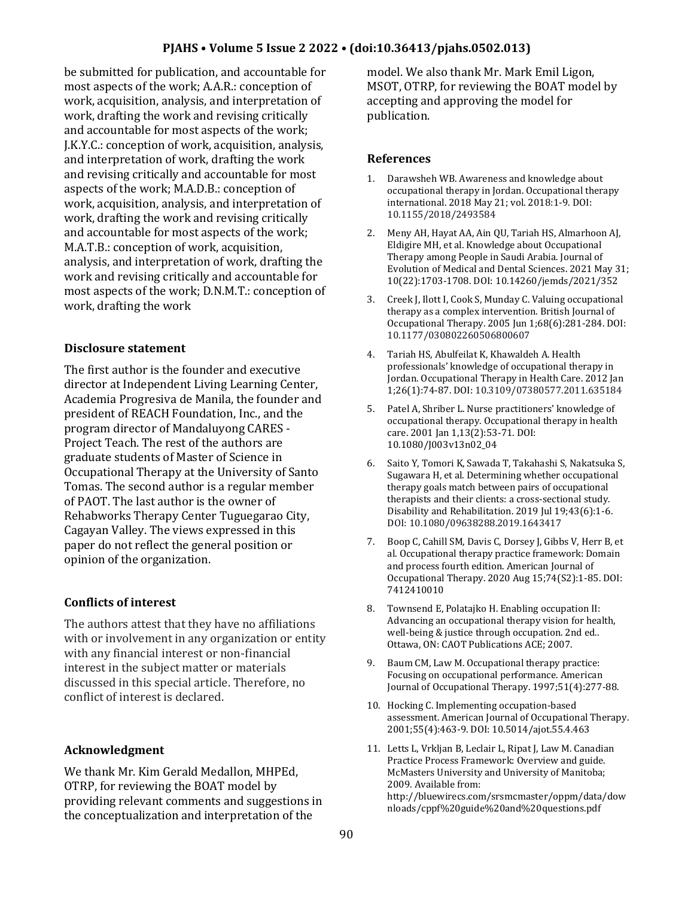### **PJAHS • Volume 5 Issue 2 2022 • (doi:10.36413/pjahs.0502.013)**

be submitted for publication, and accountable for most aspects of the work; A.A.R.: conception of work, acquisition, analysis, and interpretation of work, drafting the work and revising critically and accountable for most aspects of the work; J.K.Y.C.: conception of work, acquisition, analysis, and interpretation of work, drafting the work and revising critically and accountable for most aspects of the work; M.A.D.B.: conception of work, acquisition, analysis, and interpretation of work, drafting the work and revising critically and accountable for most aspects of the work; M.A.T.B.: conception of work, acquisition, analysis, and interpretation of work, drafting the work and revising critically and accountable for most aspects of the work; D.N.M.T.: conception of work, drafting the work

### **Disclosure statement**

The first author is the founder and executive director at Independent Living Learning Center, Academia Progresiva de Manila, the founder and president of REACH Foundation, Inc., and the program director of Mandaluyong CARES - Project Teach. The rest of the authors are graduate students of Master of Science in Occupational Therapy at the University of Santo Tomas. The second author is a regular member of PAOT. The last author is the owner of Rehabworks Therapy Center Tuguegarao City, Cagayan Valley. The views expressed in this paper do not reflect the general position or opinion of the organization.

### **Conflicts of interest**

The authors attest that they have no affiliations with or involvement in any organization or entity with any financial interest or non-financial interest in the subject matter or materials discussed in this special article. Therefore, no conflict of interest is declared.

### **Acknowledgment**

We thank Mr. Kim Gerald Medallon, MHPEd, OTRP, for reviewing the BOAT model by providing relevant comments and suggestions in the conceptualization and interpretation of the

model. We also thank Mr. Mark Emil Ligon, MSOT, OTRP, for reviewing the BOAT model by accepting and approving the model for publication.

#### **References**

- 1. Darawsheh WB. Awareness and knowledge about occupational therapy in Jordan. Occupational therapy international. 2018 May 21; vol. 2018:1-9. DOI: 10.1155/2018/2493584
- 2. Meny AH, Hayat AA, Ain QU, Tariah HS, Almarhoon AJ, Eldigire MH, et al. Knowledge about Occupational Therapy among People in Saudi Arabia. Journal of Evolution of Medical and Dental Sciences. 2021 May 31; 10(22):1703-1708. DOI: 10.14260/jemds/2021/352
- 3. Creek J, Ilott I, Cook S, Munday C. Valuing occupational therapy as a complex intervention. British Journal of Occupational Therapy. 2005 Jun 1;68(6):281-284. DOI: [10.1177/030802260506800607](https://doi.org/10.1177%2F030802260506800607)
- 4. Tariah HS, Abulfeilat K, Khawaldeh A. Health professionals' knowledge of occupational therapy in Jordan. Occupational Therapy in Health Care. 2012 Jan 1;26(1):74-87. DOI[: 10.3109/07380577.2011.635184](https://doi.org/10.3109/07380577.2011.635184)
- 5. Patel A, Shriber L. Nurse practitioners' knowledge of occupational therapy. Occupational therapy in health care. 2001 Jan 1,13(2):53-71. DOI: 10.1080/J003v13n02\_04
- 6. Saito Y, Tomori K, Sawada T, Takahashi S, Nakatsuka S, Sugawara H, et al. Determining whether occupational therapy goals match between pairs of occupational therapists and their clients: a cross-sectional study. Disability and Rehabilitation. 2019 Jul 19;43(6):1-6. DOI[: 10.1080/09638288.2019.1643417](http://dx.doi.org/10.1080/09638288.2019.1643417)
- 7. Boop C, Cahill SM, Davis C, Dorsey J, Gibbs V, Herr B, et al. Occupational therapy practice framework: Domain and process fourth edition. American Journal of Occupational Therapy. 2020 Aug 15;74(S2):1-85. DOI: 7412410010
- 8. Townsend E, Polatajko H. Enabling occupation II: Advancing an occupational therapy vision for health, well-being & justice through occupation. 2nd ed.. Ottawa, ON: CAOT Publications ACE; 2007.
- 9. Baum CM, Law M. Occupational therapy practice: Focusing on occupational performance. American Journal of Occupational Therapy. 1997;51(4):277-88.
- 10. Hocking C. Implementing occupation-based assessment. American Journal of Occupational Therapy. 2001;55(4):463-9. DOI[: 10.5014/ajot.55.4.463](https://doi.org/10.5014/ajot.55.4.463)
- 11. Letts L, Vrkljan B, Leclair L, Ripat J, Law M. Canadian Practice Process Framework: Overview and guide. McMasters University and University of Manitoba; 2009. Available from: http://bluewirecs.com/srsmcmaster/oppm/data/dow nloads/cppf%20guide%20and%20questions.pdf